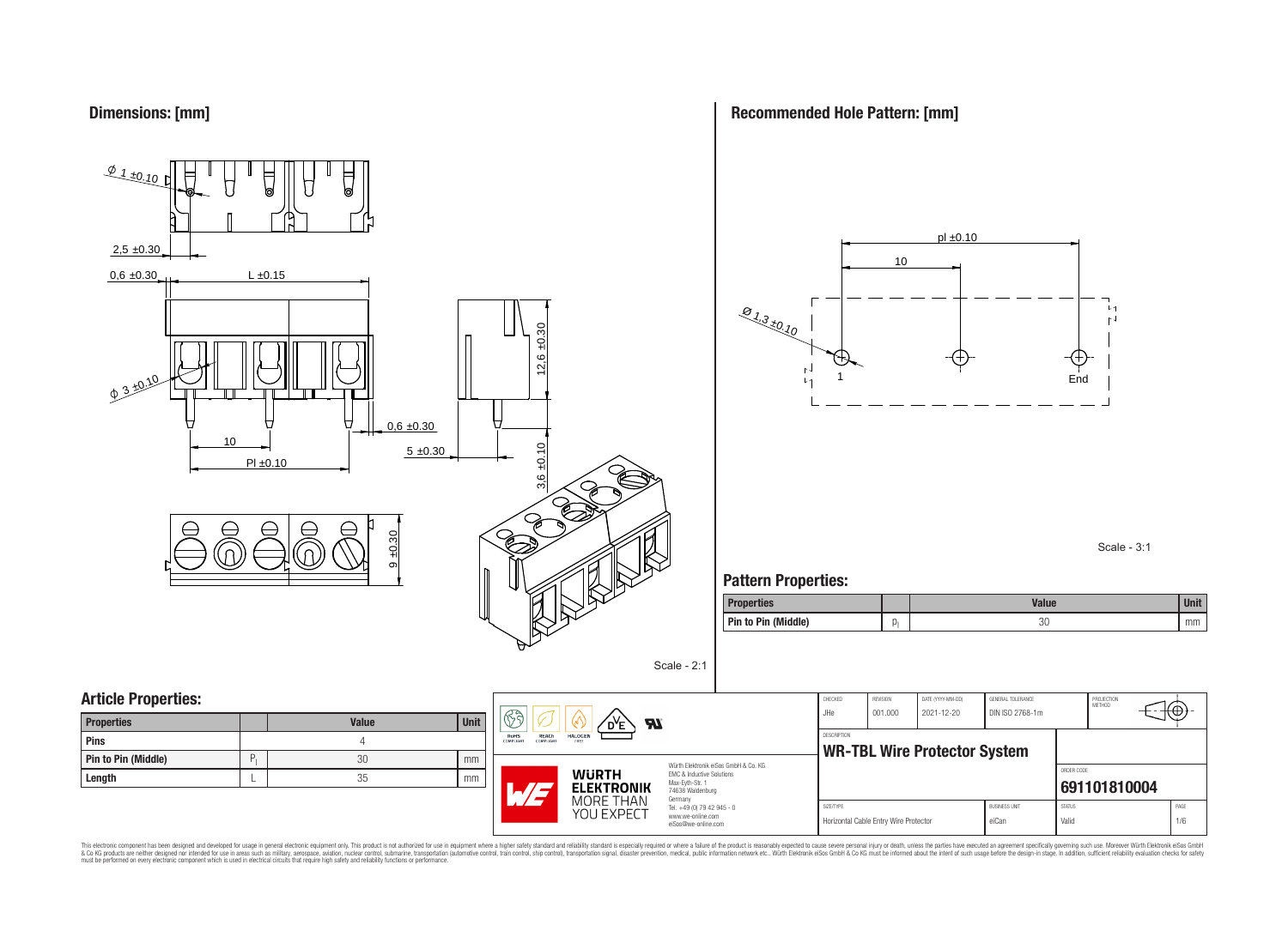

**Recommended Hole Pattern: [mm]**



Scale - 3:1

### **Pattern Properties:**

| <b>Properties</b>   | <b>Value</b> | <b>Unit</b> |
|---------------------|--------------|-------------|
| Pin to Pin (Middle) | oc<br>JU     | mm          |

| <b>Properties</b>          |   | <b>Value</b> | Unit |
|----------------------------|---|--------------|------|
| Pins                       |   |              |      |
| <b>Pin to Pin (Middle)</b> | D | 30           | mm   |
| Length                     |   | 35           | mm   |



Würth Elektronik eiSos GmbH & Co. KG EMC & Inductive Solutions Max-Eyth-Str. 1 74638 Waldenburg Germany Tel. +49 (0) 79 42 945 - 0 www.we-online.com

eiSos@we-online.com

Scale - 2:1

| CHECKED<br>JHe.    | <b>REVISION</b><br>001.000            | DATE (YYYY-MM-DD)<br>2021-12-20     | GENERAL TOLERANCE<br>DIN ISO 2768-1m |               | PROJECTION<br><b>METHOD</b> |      |
|--------------------|---------------------------------------|-------------------------------------|--------------------------------------|---------------|-----------------------------|------|
| <b>DESCRIPTION</b> |                                       |                                     |                                      |               |                             |      |
|                    |                                       | <b>WR-TBL Wire Protector System</b> |                                      |               |                             |      |
|                    |                                       |                                     | ORDER CODE                           |               |                             |      |
|                    |                                       |                                     |                                      |               | 691101810004                |      |
| SIZE/TYPE          |                                       |                                     | <b>BUSINESS UNIT</b>                 | <b>STATUS</b> |                             | PAGE |
|                    | Horizontal Cable Entry Wire Protector |                                     | eiCan                                | Valid         |                             | 1/6  |

This electronic component has been designed and developed for usage in general electronic equipment only. This product is not authorized for subserved requipment where a higher selection equipment where a higher selection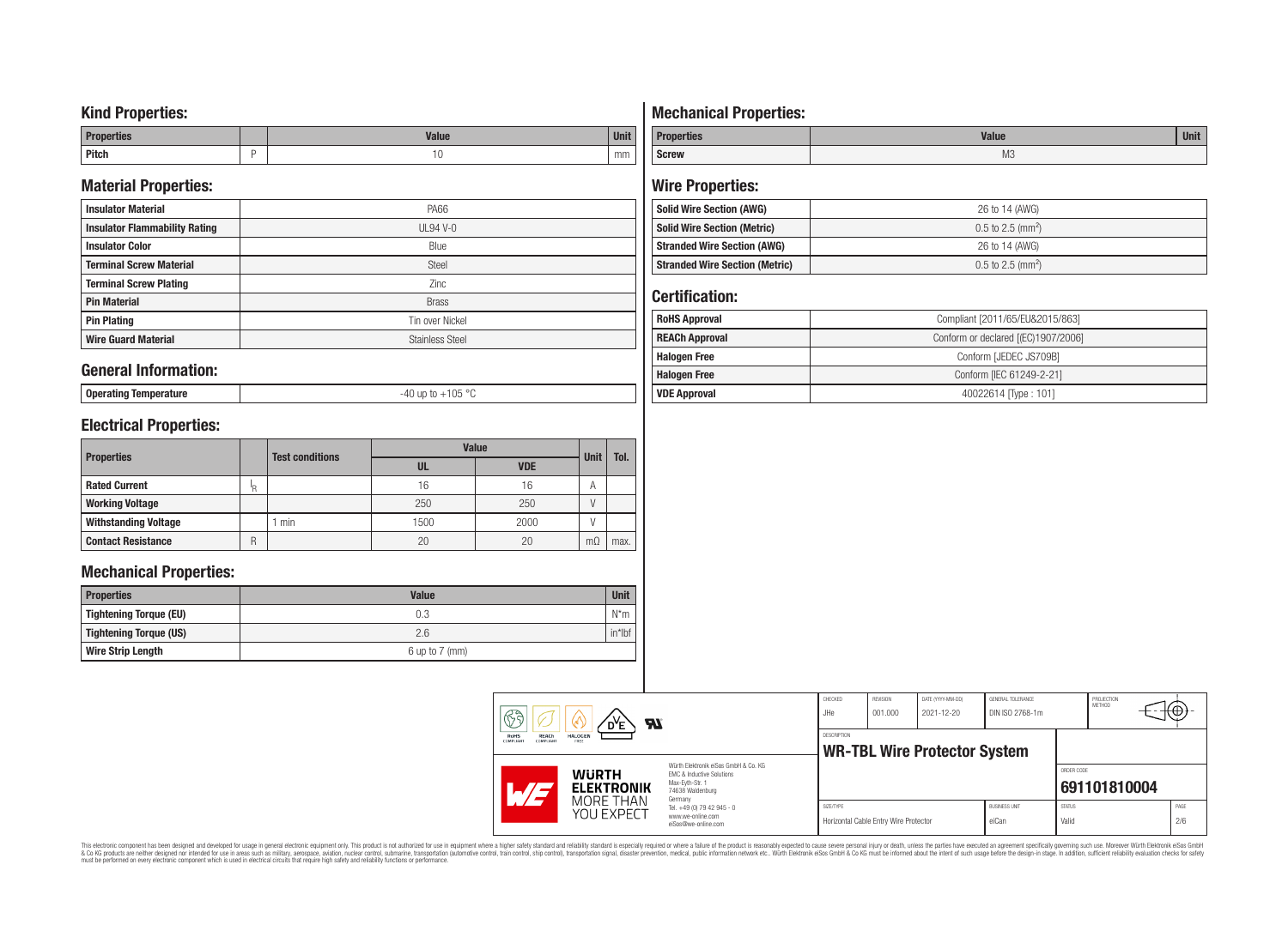### **Kind Properties:**

| <b>Properties</b> |   | <b>Moline</b><br>"dluc- | <b>Unit</b> |
|-------------------|---|-------------------------|-------------|
| <b>Pitch</b>      | - | טו                      | mm          |

### **Material Properties:**

| <b>Insulator Material</b>            | PA66                   |
|--------------------------------------|------------------------|
| <b>Insulator Flammability Rating</b> | $UL94V-0$              |
| <b>Insulator Color</b>               | Blue                   |
| <b>Terminal Screw Material</b>       | <b>Steel</b>           |
| <b>Terminal Screw Plating</b>        | Zinc                   |
| <b>Pin Material</b>                  | <b>Brass</b>           |
| <b>Pin Plating</b>                   | Tin over Nickel        |
| <b>Wire Guard Material</b>           | <b>Stainless Steel</b> |

### **General Information:**

**Operating Temperature** -40 up to +105 °C

# **Electrical Properties:**

| <b>Properties</b>           |     | <b>Test conditions</b> | <b>Value</b> | <b>Unit</b> | Tol.      |      |
|-----------------------------|-----|------------------------|--------------|-------------|-----------|------|
|                             |     |                        | UL           | <b>VDE</b>  |           |      |
| <b>Rated Current</b>        | ΙŖ. |                        | 16           | 16          | A         |      |
| <b>Working Voltage</b>      |     |                        | 250          | 250         |           |      |
| <b>Withstanding Voltage</b> |     | min                    | 1500         | 2000        |           |      |
| <b>Contact Resistance</b>   | R   |                        | 20           | 20          | $m\Omega$ | max. |

### **Mechanical Properties:**

| <b>Properties</b>        | <b>Value</b>       | <b>Unit</b> |
|--------------------------|--------------------|-------------|
| Tightening Torque (EU)   | 0.3                | $N^*m$      |
| Tightening Torque (US)   | 2.6                | $in*$ Ibf   |
| <b>Wire Strip Length</b> | $6$ up to $7$ (mm) |             |

# **Mechanical Properties:**

| <b>Properties</b> | <b>Value</b>   | <b>Unit</b> |
|-------------------|----------------|-------------|
| <b>Screw</b>      | M <sub>3</sub> |             |

# **Wire Properties:**

| Solid Wire Section (AWG)              | 26 to 14 (AWG)                  |
|---------------------------------------|---------------------------------|
| <b>Solid Wire Section (Metric)</b>    | $0.5$ to 2.5 (mm <sup>2</sup> ) |
| <b>Stranded Wire Section (AWG)</b>    | 26 to 14 (AWG)                  |
| <b>Stranded Wire Section (Metric)</b> | $0.5$ to 2.5 (mm <sup>2</sup> ) |

# **Certification:**

| <b>RoHS Approval</b>  | Compliant [2011/65/EU&2015/863]     |  |  |  |  |
|-----------------------|-------------------------------------|--|--|--|--|
| <b>REACh Approval</b> | Conform or declared [(EC)1907/2006] |  |  |  |  |
| <b>Halogen Free</b>   | Conform [JEDEC JS709B]              |  |  |  |  |
| <b>Halogen Free</b>   | Conform [IEC 61249-2-21]            |  |  |  |  |
| <b>VDE Approval</b>   | 40022614 Type: 101]                 |  |  |  |  |

| $\mathbb{S}$ a<br>DE<br><b>RI</b><br>w<br>REACh<br>RoHS<br><b>HALOGEN</b><br><b>COMPLIANT</b><br>FREE<br>COMPLIANT<br>Würth Elektronik eiSos GmbH & Co. KG |                                                                             | CHECKED<br>JHe     | REVISION<br>001.000                   | DATE (YYYY-MM-DD)<br>2021-12-20     | GENERAL TOLERANCE<br>DIN ISO 2768-1m |                        | PROJECTION<br>METHOD | ι€Θ.        |
|------------------------------------------------------------------------------------------------------------------------------------------------------------|-----------------------------------------------------------------------------|--------------------|---------------------------------------|-------------------------------------|--------------------------------------|------------------------|----------------------|-------------|
|                                                                                                                                                            |                                                                             | <b>DESCRIPTION</b> |                                       | <b>WR-TBL Wire Protector System</b> |                                      |                        |                      |             |
| <b>WURTH</b><br><b>ELEKTRONIK</b>                                                                                                                          | EMC & Inductive Solutions<br>Max-Evth-Str. 1<br>74638 Waldenburg<br>Germany |                    |                                       |                                     |                                      | ORDER CODE             | 691101810004         |             |
| <b>MORE THAN</b><br>YOU EXPECT                                                                                                                             | Tel. +49 (0) 79 42 945 - 0<br>www.we-online.com<br>eiSos@we-online.com      | SIZE/TYPE          | Horizontal Cable Entry Wire Protector |                                     | <b>BUSINESS UNIT</b><br>eiCan        | <b>STATUS</b><br>Valid |                      | PAGE<br>2/6 |

This electronic component has been designed and developed for usage in general electronic equipment only. This product is not authorized for subserved requipment where a higher selection equipment where a higher selection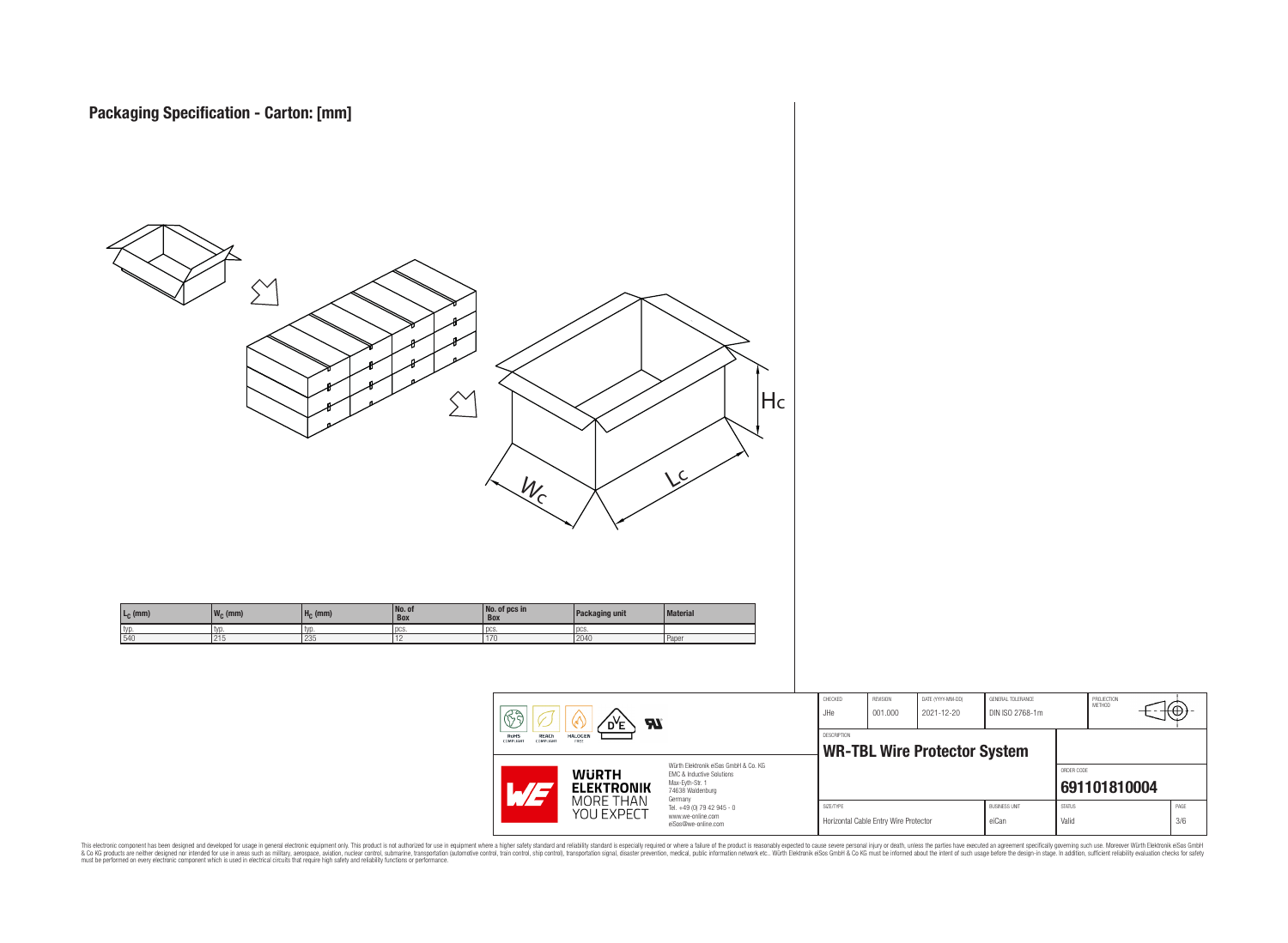

This electronic component has been designed and developed for usage in general electronic equipment only. This product is not authorized for subserved requipment where a higher selection equipment where a higher selection

PROJECTION<br>METHOD

ю

**[691101810004](https://www.we-online.com/catalog/en/article/691101810004)**

ORDER CODE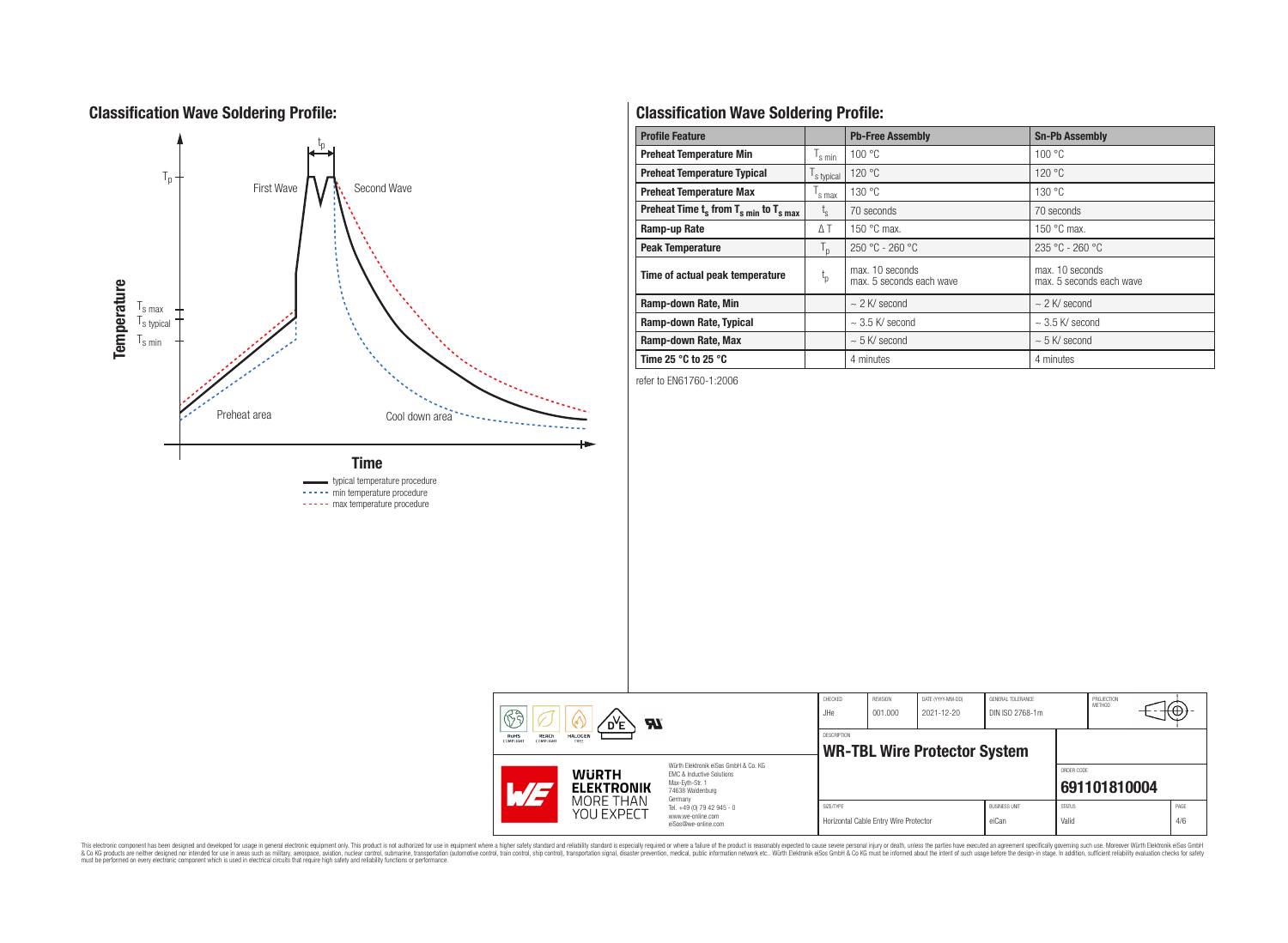# **Classification Wave Soldering Profile:**



----- min temperature procedure ----- max temperature procedure

# **Classification Wave Soldering Profile:**

| <b>Profile Feature</b>                             |                               | <b>Pb-Free Assembly</b>                     | <b>Sn-Pb Assembly</b>                       |
|----------------------------------------------------|-------------------------------|---------------------------------------------|---------------------------------------------|
| <b>Preheat Temperature Min</b>                     | $\mathsf{I}_{\mathsf{S}}$ min | 100 °C                                      | 100 °C                                      |
| <b>Preheat Temperature Typical</b>                 | s typical                     | 120 °C                                      | 120 °C                                      |
| <b>Preheat Temperature Max</b>                     | s max                         | 130 °C                                      | 130 °C                                      |
| Preheat Time $t_s$ from $T_{s,min}$ to $T_{s,max}$ | $L_{\rm S}$                   | 70 seconds                                  | 70 seconds                                  |
| Ramp-up Rate                                       | $\Delta T$                    | 150 $\degree$ C max.                        | 150 $\degree$ C max.                        |
| <b>Peak Temperature</b>                            | $T_{\rm p}$                   | $250 °C - 260 °C$                           | $235 °C - 260 °C$                           |
| Time of actual peak temperature                    | $t_{p}$                       | max. 10 seconds<br>max. 5 seconds each wave | max. 10 seconds<br>max. 5 seconds each wave |
| Ramp-down Rate, Min                                |                               | $\sim$ 2 K/ second                          | $\sim$ 2 K/ second                          |
| Ramp-down Rate, Typical                            |                               | $\sim$ 3.5 K/ second                        | $\sim$ 3.5 K/ second                        |
| Ramp-down Rate, Max                                |                               | $\sim$ 5 K/ second                          | $\sim$ 5 K/ second                          |
| Time 25 $^{\circ}$ C to 25 $^{\circ}$ C            |                               | 4 minutes                                   | 4 minutes                                   |

refer to EN61760-1:2006

| रुके<br><b>Al</b><br>D <sup>Y</sup> E<br>REACh<br><b>HALOGEN</b><br>RoHS<br><b>COMPLIANT</b><br>FREE<br>COMPLIANT |  |                                   | CHECKED<br>JHe                                                                                                                                                                                | REVISION<br>001.000 | DATE (YYYY-MM-DD)<br>2021-12-20       | GENERAL TOLERANCE<br>DIN ISO 2768-1m |                               | PROJECTION<br><b>METHOD</b> | ₩Ψ           |             |
|-------------------------------------------------------------------------------------------------------------------|--|-----------------------------------|-----------------------------------------------------------------------------------------------------------------------------------------------------------------------------------------------|---------------------|---------------------------------------|--------------------------------------|-------------------------------|-----------------------------|--------------|-------------|
|                                                                                                                   |  |                                   | <b>DESCRIPTION</b><br><b>WR-TBL Wire Protector System</b>                                                                                                                                     |                     |                                       |                                      |                               |                             |              |             |
| $\sqrt{4/2}$                                                                                                      |  | <b>WURTH</b><br><b>ELEKTRONIK</b> | Würth Elektronik eiSos GmbH & Co. KG<br>FMC & Inductive Solutions<br>Max-Evth-Str. 1<br>74638 Waldenburg<br>Germany<br>Tel. +49 (0) 79 42 945 - 0<br>www.we-online.com<br>eiSos@we-online.com |                     |                                       |                                      |                               | ORDER CODE                  | 691101810004 |             |
|                                                                                                                   |  | MORE THAN<br>YOU EXPECT           |                                                                                                                                                                                               | SIZE/TYPE           | Horizontal Cable Entry Wire Protector |                                      | <b>BUSINESS UNIT</b><br>eiCan | <b>STATUS</b><br>Valid      |              | PAGE<br>4/6 |

This electronic component has been designed and developed for usage in general electronic equipment only. This product is not authorized for subserved requipment where a higher selection equipment where a higher selection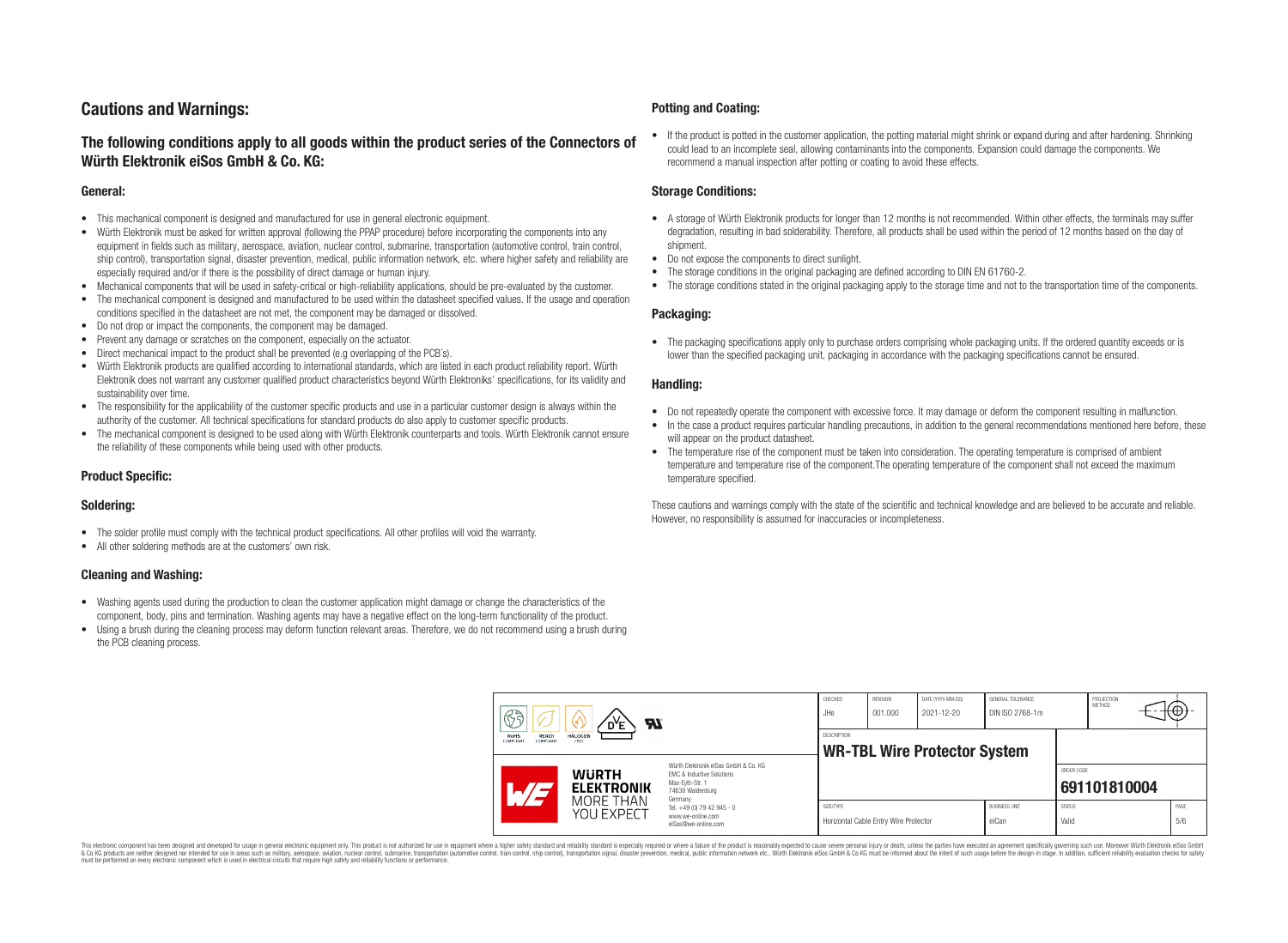# **Cautions and Warnings:**

### **The following conditions apply to all goods within the product series of the Connectors of Würth Elektronik eiSos GmbH & Co. KG:**

#### **General:**

- This mechanical component is designed and manufactured for use in general electronic equipment.
- Würth Elektronik must be asked for written approval (following the PPAP procedure) before incorporating the components into any equipment in fields such as military, aerospace, aviation, nuclear control, submarine, transportation (automotive control, train control, ship control), transportation signal, disaster prevention, medical, public information network, etc. where higher safety and reliability are especially required and/or if there is the possibility of direct damage or human injury.
- Mechanical components that will be used in safety-critical or high-reliability applications, should be pre-evaluated by the customer.
- The mechanical component is designed and manufactured to be used within the datasheet specified values. If the usage and operation conditions specified in the datasheet are not met, the component may be damaged or dissolved.
- Do not drop or impact the components, the component may be damaged.
- Prevent any damage or scratches on the component, especially on the actuator.
- Direct mechanical impact to the product shall be prevented (e.g overlapping of the PCB's).
- Würth Elektronik products are qualified according to international standards, which are listed in each product reliability report. Würth Elektronik does not warrant any customer qualified product characteristics beyond Würth Elektroniks' specifications, for its validity and sustainability over time.
- The responsibility for the applicability of the customer specific products and use in a particular customer design is always within the authority of the customer. All technical specifications for standard products do also apply to customer specific products.
- The mechanical component is designed to be used along with Würth Elektronik counterparts and tools. Würth Elektronik cannot ensure the reliability of these components while being used with other products.

#### **Product Specific:**

#### **Soldering:**

- The solder profile must comply with the technical product specifications. All other profiles will void the warranty.
- All other soldering methods are at the customers' own risk.

#### **Cleaning and Washing:**

- Washing agents used during the production to clean the customer application might damage or change the characteristics of the component, body, pins and termination. Washing agents may have a negative effect on the long-term functionality of the product.
- Using a brush during the cleaning process may deform function relevant areas. Therefore, we do not recommend using a brush during the PCB cleaning process.

#### **Potting and Coating:**

• If the product is potted in the customer application, the potting material might shrink or expand during and after hardening. Shrinking could lead to an incomplete seal, allowing contaminants into the components. Expansion could damage the components. We recommend a manual inspection after potting or coating to avoid these effects.

#### **Storage Conditions:**

- A storage of Würth Elektronik products for longer than 12 months is not recommended. Within other effects, the terminals may suffer degradation, resulting in bad solderability. Therefore, all products shall be used within the period of 12 months based on the day of shipment.
- Do not expose the components to direct sunlight.
- The storage conditions in the original packaging are defined according to DIN EN 61760-2.
- The storage conditions stated in the original packaging apply to the storage time and not to the transportation time of the components.

#### **Packaging:**

• The packaging specifications apply only to purchase orders comprising whole packaging units. If the ordered quantity exceeds or is lower than the specified packaging unit, packaging in accordance with the packaging specifications cannot be ensured.

#### **Handling:**

- Do not repeatedly operate the component with excessive force. It may damage or deform the component resulting in malfunction.
- In the case a product requires particular handling precautions, in addition to the general recommendations mentioned here before, these will appear on the product datasheet
- The temperature rise of the component must be taken into consideration. The operating temperature is comprised of ambient temperature and temperature rise of the component.The operating temperature of the component shall not exceed the maximum temperature specified.

These cautions and warnings comply with the state of the scientific and technical knowledge and are believed to be accurate and reliable. However, no responsibility is assumed for inaccuracies or incompleteness.

| B<br><b>Al</b><br>RoHS<br><b>REACh</b><br><b>HALOGEN</b><br>COMPLIANT<br>COMPLIANT<br>FREE |                                                              |                                                                                                                                                                                                          | CHECKED<br>JHe                                            | <b>REVISION</b><br>001.000            | DATE (YYYY-MM-DD)<br>2021-12-20 | GENERAL TOLERANCE<br>DIN ISO 2768-1m |                        | PROJECTION<br>METHOD | Κ⊕;         |  |
|--------------------------------------------------------------------------------------------|--------------------------------------------------------------|----------------------------------------------------------------------------------------------------------------------------------------------------------------------------------------------------------|-----------------------------------------------------------|---------------------------------------|---------------------------------|--------------------------------------|------------------------|----------------------|-------------|--|
|                                                                                            |                                                              |                                                                                                                                                                                                          | <b>DESCRIPTION</b><br><b>WR-TBL Wire Protector System</b> |                                       |                                 |                                      |                        |                      |             |  |
|                                                                                            | <b>WURTH</b><br><b>ELEKTRONIK</b><br>MORE THAN<br>YOU EXPECT | Würth Elektronik eiSos GmbH & Co. KG<br><b>EMC &amp; Inductive Solutions</b><br>Max-Eyth-Str. 1<br>74638 Waldenburg<br>Germany<br>Tel. +49 (0) 79 42 945 - 0<br>www.we-online.com<br>eiSos@we-online.com |                                                           |                                       |                                 |                                      | ORDER CODE             | 691101810004         |             |  |
|                                                                                            |                                                              |                                                                                                                                                                                                          | SIZE/TYPE                                                 | Horizontal Cable Entry Wire Protector |                                 | <b>BUSINESS UNIT</b><br>eiCan        | <b>STATUS</b><br>Valid |                      | PAGE<br>5/6 |  |

This electronic component has been designed and developed for usage in general electronic equipment only. This product is not authorized for use in equipment where a higher safety standard and reliability standard si espec & Ook product a label and the membed of the seasuch as marked and as which such a membed and the such assume that income in the seasuch and the simulation and the such assume that include to the such a membed and the such